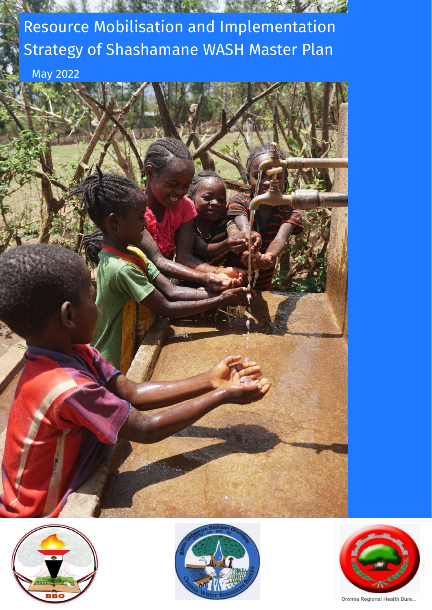

May 2022









Oromia Regional Health Bure...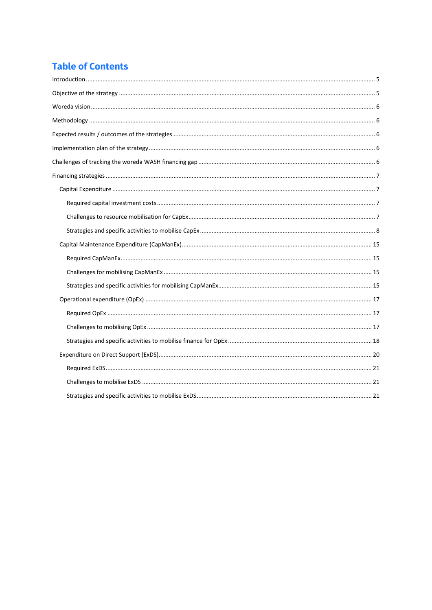# **Table of Contents**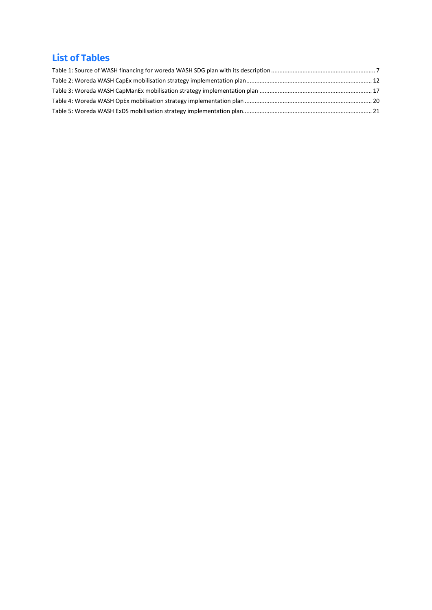# **List of Tables**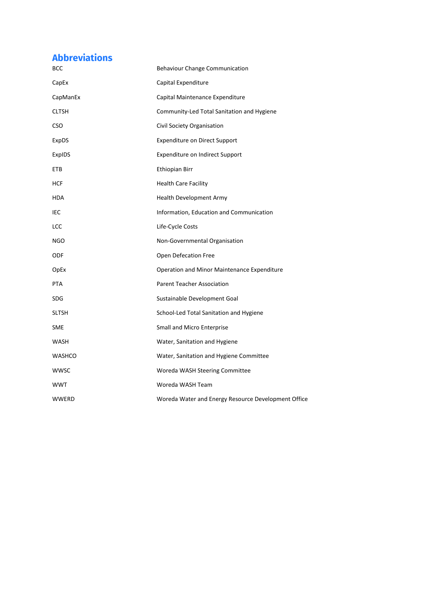# **Abbreviations**

<span id="page-3-0"></span>

| BCC           | <b>Behaviour Change Communication</b>               |
|---------------|-----------------------------------------------------|
| CapEx         | Capital Expenditure                                 |
| CapManEx      | Capital Maintenance Expenditure                     |
| <b>CLTSH</b>  | Community-Led Total Sanitation and Hygiene          |
| <b>CSO</b>    | Civil Society Organisation                          |
| ExpDS         | <b>Expenditure on Direct Support</b>                |
| ExpIDS        | <b>Expenditure on Indirect Support</b>              |
| ETB           | Ethiopian Birr                                      |
| HCF           | <b>Health Care Facility</b>                         |
| <b>HDA</b>    | <b>Health Development Army</b>                      |
| IEC           | Information, Education and Communication            |
| LCC           | Life-Cycle Costs                                    |
| <b>NGO</b>    | Non-Governmental Organisation                       |
| ODF           | Open Defecation Free                                |
| OpEx          | Operation and Minor Maintenance Expenditure         |
| <b>PTA</b>    | <b>Parent Teacher Association</b>                   |
| <b>SDG</b>    | Sustainable Development Goal                        |
| <b>SLTSH</b>  | School-Led Total Sanitation and Hygiene             |
| SME           | Small and Micro Enterprise                          |
| WASH          | Water, Sanitation and Hygiene                       |
| <b>WASHCO</b> | Water, Sanitation and Hygiene Committee             |
| <b>WWSC</b>   | Woreda WASH Steering Committee                      |
| <b>WWT</b>    | Woreda WASH Team                                    |
| <b>WWERD</b>  | Woreda Water and Energy Resource Development Office |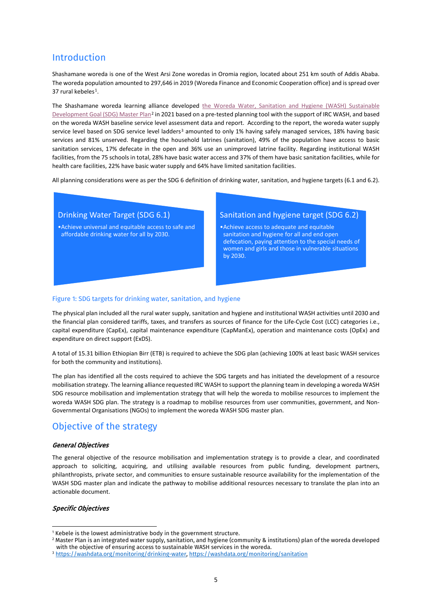# Introduction

Shashamane woreda is one of the West Arsi Zone woredas in Oromia region, located about 251 km south of Addis Ababa. The woreda population amounted to 297,646 in 2019 (Woreda Finance and Economic Cooperation office) and is spread over 37 rural kebeles<sup>1</sup>.

The Shashamane woreda learning alliance developed the Woreda Water, Sanitation and Hygiene (WASH) Sustainable [Development Goal \(SDG\) Master Plan](https://www.ircwash.org/sites/default/files/shashamane_woreda_wash_sustainable_development_goal_master_planmarch_2021_cover-merged.pdf)<sup>[2](#page-4-2)</sup> in 2021 based on a pre-tested planning tool with the support of IRC WASH, and based on the woreda WASH baseline service level assessment data and report. According to the report, the woreda water supply service level based on SDG service level ladders<sup>[3](#page-4-3)</sup> amounted to only 1% having safely managed services, 18% having basic services and 81% unserved. Regarding the household latrines (sanitation), 49% of the population have access to basic sanitation services, 17% defecate in the open and 36% use an unimproved latrine facility. Regarding institutional WASH facilities, from the 75 schools in total, 28% have basic water access and 37% of them have basic sanitation facilities, while for health care facilities, 22% have basic water supply and 64% have limited sanitation facilities.

All planning considerations were as per the SDG 6 definition of drinking water, sanitation, and hygiene targets (6.1 and 6.2).

# Drinking Water Target (SDG 6.1)

•Achieve universal and equitable access to safe and affordable drinking water for all by 2030.

## Sanitation and hygiene target (SDG 6.2)

•Achieve access to adequate and equitable sanitation and hygiene for all and end open defecation, paying attention to the special needs of women and girls and those in vulnerable situations by 2030.

#### Figure 1: SDG targets for drinking water, sanitation, and hygiene

The physical plan included all the rural water supply, sanitation and hygiene and institutional WASH activities until 2030 and the financial plan considered tariffs, taxes, and transfers as sources of finance for the Life-Cycle Cost (LCC) categories i.e., capital expenditure (CapEx), capital maintenance expenditure (CapManEx), operation and maintenance costs (OpEx) and expenditure on direct support (ExDS).

A total of 15.31 billion Ethiopian Birr (ETB) is required to achieve the SDG plan (achieving 100% at least basic WASH services for both the community and institutions).

The plan has identified all the costs required to achieve the SDG targets and has initiated the development of a resource mobilisation strategy. The learning alliance requested IRC WASH to support the planning team in developing a woreda WASH SDG resource mobilisation and implementation strategy that will help the woreda to mobilise resources to implement the woreda WASH SDG plan. The strategy is a roadmap to mobilise resources from user communities, government, and Non-Governmental Organisations (NGOs) to implement the woreda WASH SDG master plan.

# <span id="page-4-0"></span>Objective of the strategy

#### General Objectives

The general objective of the resource mobilisation and implementation strategy is to provide a clear, and coordinated approach to soliciting, acquiring, and utilising available resources from public funding, development partners, philanthropists, private sector, and communities to ensure sustainable resource availability for the implementation of the WASH SDG master plan and indicate the pathway to mobilise additional resources necessary to translate the plan into an actionable document.

#### Specific Objectives

<sup>&</sup>lt;sup>1</sup> Kebele is the lowest administrative body in the government structure.

<span id="page-4-2"></span><span id="page-4-1"></span><sup>&</sup>lt;sup>2</sup> Master Plan is an integrated water supply, sanitation, and hygiene (community & institutions) plan of the woreda developed with the objective of ensuring access to sustainable WASH services in the woreda.

<span id="page-4-3"></span><sup>3</sup> [https://washdata.org/monitoring/drinking-water,](https://washdata.org/monitoring/drinking-water)<https://washdata.org/monitoring/sanitation>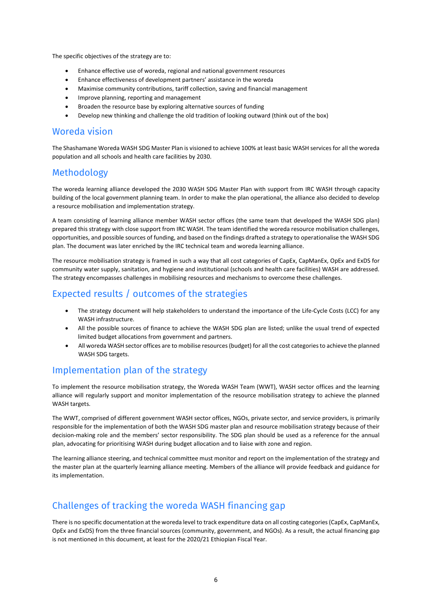The specific objectives of the strategy are to:

- Enhance effective use of woreda, regional and national government resources
- Enhance effectiveness of development partners' assistance in the woreda
- Maximise community contributions, tariff collection, saving and financial management
- Improve planning, reporting and management
- Broaden the resource base by exploring alternative sources of funding
- Develop new thinking and challenge the old tradition of looking outward (think out of the box)

# <span id="page-5-0"></span>Woreda vision

The Shashamane Woreda WASH SDG Master Plan is visioned to achieve 100% at least basic WASH services for all the woreda population and all schools and health care facilities by 2030.

# <span id="page-5-1"></span>Methodology

The woreda learning alliance developed the 2030 WASH SDG Master Plan with support from IRC WASH through capacity building of the local government planning team. In order to make the plan operational, the alliance also decided to develop a resource mobilisation and implementation strategy.

A team consisting of learning alliance member WASH sector offices (the same team that developed the WASH SDG plan) prepared this strategy with close support from IRC WASH. The team identified the woreda resource mobilisation challenges, opportunities, and possible sources of funding, and based on the findings drafted a strategy to operationalise the WASH SDG plan. The document was later enriched by the IRC technical team and woreda learning alliance.

The resource mobilisation strategy is framed in such a way that all cost categories of CapEx, CapManEx, OpEx and ExDS for community water supply, sanitation, and hygiene and institutional (schools and health care facilities) WASH are addressed. The strategy encompasses challenges in mobilising resources and mechanisms to overcome these challenges.

# <span id="page-5-2"></span>Expected results / outcomes of the strategies

- The strategy document will help stakeholders to understand the importance of the Life-Cycle Costs (LCC) for any WASH infrastructure.
- All the possible sources of finance to achieve the WASH SDG plan are listed; unlike the usual trend of expected limited budget allocations from government and partners.
- All woreda WASH sector offices are to mobilise resources (budget) for all the cost categories to achieve the planned WASH SDG targets.

# <span id="page-5-3"></span>Implementation plan of the strategy

To implement the resource mobilisation strategy, the Woreda WASH Team (WWT), WASH sector offices and the learning alliance will regularly support and monitor implementation of the resource mobilisation strategy to achieve the planned WASH targets.

The WWT, comprised of different government WASH sector offices, NGOs, private sector, and service providers, is primarily responsible for the implementation of both the WASH SDG master plan and resource mobilisation strategy because of their decision-making role and the members' sector responsibility. The SDG plan should be used as a reference for the annual plan, advocating for prioritising WASH during budget allocation and to liaise with zone and region.

The learning alliance steering, and technical committee must monitor and report on the implementation of the strategy and the master plan at the quarterly learning alliance meeting. Members of the alliance will provide feedback and guidance for its implementation.

# <span id="page-5-4"></span>Challenges of tracking the woreda WASH financing gap

There is no specific documentation at the woreda level to track expenditure data on all costing categories (CapEx, CapManEx, OpEx and ExDS) from the three financial sources (community, government, and NGOs). As a result, the actual financing gap is not mentioned in this document, at least for the 2020/21 Ethiopian Fiscal Year.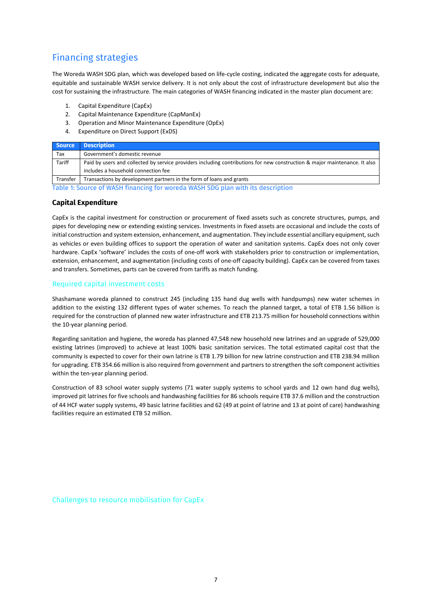# <span id="page-6-0"></span>Financing strategies

The Woreda WASH SDG plan, which was developed based on life-cycle costing, indicated the aggregate costs for adequate, equitable and sustainable WASH service delivery. It is not only about the cost of infrastructure development but also the cost for sustaining the infrastructure. The main categories of WASH financing indicated in the master plan document are:

- 1. Capital Expenditure (CapEx)
- 2. Capital Maintenance Expenditure (CapManEx)
- 3. Operation and Minor Maintenance Expenditure (OpEx)
- 4. Expenditure on Direct Support (ExDS)

|               | Source Description                                                                                                         |
|---------------|----------------------------------------------------------------------------------------------------------------------------|
| Tax           | Government's domestic revenue                                                                                              |
| <b>Tariff</b> | Paid by users and collected by service providers including contributions for new construction & major maintenance. It also |
|               | includes a household connection fee                                                                                        |
| Transfer      | Transactions by development partners in the form of loans and grants                                                       |

<span id="page-6-4"></span>Table 1: Source of WASH financing for woreda WASH SDG plan with its description

## <span id="page-6-1"></span>**Capital Expenditure**

CapEx is the capital investment for construction or procurement of fixed assets such as concrete structures, pumps, and pipes for developing new or extending existing services. Investments in fixed assets are occasional and include the costs of initial construction and system extension, enhancement, and augmentation. They include essential ancillary equipment, such as vehicles or even building offices to support the operation of water and sanitation systems. CapEx does not only cover hardware. CapEx 'software' includes the costs of one-off work with stakeholders prior to construction or implementation, extension, enhancement, and augmentation (including costs of one-off capacity building). CapEx can be covered from taxes and transfers. Sometimes, parts can be covered from tariffs as match funding.

# <span id="page-6-2"></span>Required capital investment costs

Shashamane woreda planned to construct 245 (including 135 hand dug wells with handpumps) new water schemes in addition to the existing 132 different types of water schemes. To reach the planned target, a total of ETB 1.56 billion is required for the construction of planned new water infrastructure and ETB 213.75 million for household connections within the 10-year planning period.

Regarding sanitation and hygiene, the woreda has planned 47,548 new household new latrines and an upgrade of 529,000 existing latrines (improved) to achieve at least 100% basic sanitation services. The total estimated capital cost that the community is expected to cover for their own latrine is ETB 1.79 billion for new latrine construction and ETB 238.94 million for upgrading. ETB 354.66 million is also required from government and partners to strengthen the soft component activities within the ten-year planning period.

Construction of 83 school water supply systems (71 water supply systems to school yards and 12 own hand dug wells), improved pit latrines for five schools and handwashing facilities for 86 schools require ETB 37.6 million and the construction of 44 HCF water supply systems, 49 basic latrine facilities and 62 (49 at point of latrine and 13 at point of care) handwashing facilities require an estimated ETB 52 million.

<span id="page-6-3"></span>Challenges to resource mobilisation for CapEx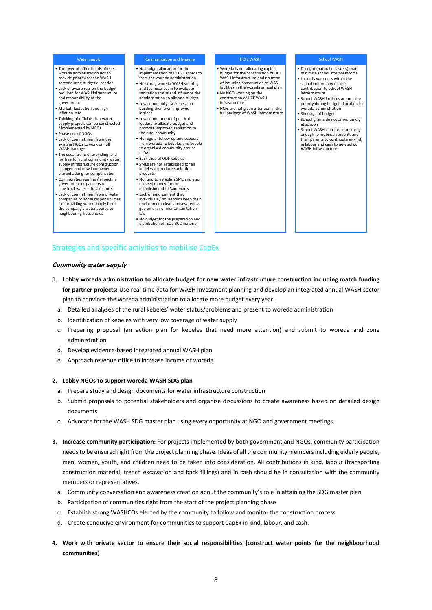| Water supply                                                                                                                                                                                                                                                                                                                                                                                                                                                                                                                                                                                                                                                                                                                                                                                                                                                                                                                                                                                     | Rural sanitation and hygiene                                                                                                                                                                                                                                                                                                                                                                                                                                                                                                                                                                                                                                                                                                                                                                                                                                                                                                                                                                                                       | <b>HCFs WASH</b>                                                                                                                                                                                                                                                                                                                                   | <b>School WASH</b>                                                                                                                                                                                                                                                                                                                                                                                                                                                                                                                                     |
|--------------------------------------------------------------------------------------------------------------------------------------------------------------------------------------------------------------------------------------------------------------------------------------------------------------------------------------------------------------------------------------------------------------------------------------------------------------------------------------------------------------------------------------------------------------------------------------------------------------------------------------------------------------------------------------------------------------------------------------------------------------------------------------------------------------------------------------------------------------------------------------------------------------------------------------------------------------------------------------------------|------------------------------------------------------------------------------------------------------------------------------------------------------------------------------------------------------------------------------------------------------------------------------------------------------------------------------------------------------------------------------------------------------------------------------------------------------------------------------------------------------------------------------------------------------------------------------------------------------------------------------------------------------------------------------------------------------------------------------------------------------------------------------------------------------------------------------------------------------------------------------------------------------------------------------------------------------------------------------------------------------------------------------------|----------------------------------------------------------------------------------------------------------------------------------------------------------------------------------------------------------------------------------------------------------------------------------------------------------------------------------------------------|--------------------------------------------------------------------------------------------------------------------------------------------------------------------------------------------------------------------------------------------------------------------------------------------------------------------------------------------------------------------------------------------------------------------------------------------------------------------------------------------------------------------------------------------------------|
| . Turnover of office heads affects<br>woreda administration not to<br>provide priority for the WASH<br>sector during budget allocation<br>• Lack of awareness on the budget<br>required for WASH infrastructure<br>and responsibility of the<br>government<br>• Market fluctuation and high<br>inflation rate<br>• Thinking of officials that water<br>supply projects can be constructed<br>/ implemented by NGOs<br>. Phase out of NGOs<br>. Lack of commitment from the<br>existing NGOs to work on full<br>WASH package<br>. The usual trend of providing land<br>for free for rural community water<br>supply infrastructure construction<br>changed and now landowners<br>started asking for compensation<br>• Communities waiting / expecting<br>government or partners to<br>construct water infrastructure<br>. Lack of commitment from private<br>companies to social responsibilities<br>like providing water supply from<br>the company's water source to<br>neighbouring households | . No budget allocation for the<br>implementation of CLTSH approach<br>from the woreda administration<br>. No strong woreda WASH steering<br>and technical team to evaluate<br>sanitation status and influence the<br>administration to allocate budget<br>• Low community awareness on<br>building their own improved<br>latrines<br>• Low commitment of political<br>leaders to allocate budget and<br>promote improved sanitation to<br>the rural community<br>. No regular follow-up and support<br>from woreda to kebeles and kebele<br>to organised community groups<br>(HDA)<br>. Back slide of ODF kebeles<br>• SMEs are not established for all<br>kebeles to produce sanitation<br>products<br>. No fund to establish SME and also<br>no seed money for the<br>establishment of Sani-marts<br>• Lack of enforcement that<br>individuals / households keep their<br>environment clean and awareness<br>gap on environmental sanitation<br>law<br>. No budget for the preparation and<br>distribution of IEC / BCC material | • Woreda is not allocating capital<br>budget for the construction of HCF<br>WASH infrastructure and no trend<br>of including construction of WASH<br>facilities in the woreda annual plan<br>. No NGO working on the<br>construction of HCF WASH<br>infrastructure<br>• HCFs are not given attention in the<br>full package of WASH infrastructure | • Drought (natural disasters) that<br>minimise school internal income<br>. Lack of awareness within the<br>school community on the<br>contribution to school WASH<br>infrastructure<br>. School WASH facilities are not the<br>priority during budget allocation to<br>woreda administration<br>• Shortage of budget<br>· School grants do not arrive timely<br>at schools<br>• School WASH clubs are not strong<br>enough to mobilise students and<br>their parents to contribute in-kind,<br>in labour and cash to new school<br>WASH infrastructure |

# <span id="page-7-0"></span>Strategies and specific activities to mobilise CapEx

#### Community water supply

- 1. **Lobby woreda administration to allocate budget for new water infrastructure construction including match funding for partner projects:** Use real time data for WASH investment planning and develop an integrated annual WASH sector plan to convince the woreda administration to allocate more budget every year.
	- a. Detailed analyses of the rural kebeles' water status/problems and present to woreda administration
	- b. Identification of kebeles with very low coverage of water supply
	- c. Preparing proposal (an action plan for kebeles that need more attention) and submit to woreda and zone administration
	- d. Develop evidence-based integrated annual WASH plan
	- e. Approach revenue office to increase income of woreda.

#### **2. Lobby NGOs to support woreda WASH SDG plan**

- a. Prepare study and design documents for water infrastructure construction
- b. Submit proposals to potential stakeholders and organise discussions to create awareness based on detailed design documents
- c. Advocate for the WASH SDG master plan using every opportunity at NGO and government meetings.
- **3. Increase community participation:** For projects implemented by both government and NGOs, community participation needs to be ensured right from the project planning phase. Ideas of all the community members including elderly people, men, women, youth, and children need to be taken into consideration. All contributions in kind, labour (transporting construction material, trench excavation and back fillings) and in cash should be in consultation with the community members or representatives.
	- a. Community conversation and awareness creation about the community's role in attaining the SDG master plan
	- b. Participation of communities right from the start of the project planning phase
	- c. Establish strong WASHCOs elected by the community to follow and monitor the construction process
	- d. Create conducive environment for communities to support CapEx in kind, labour, and cash.
- **4. Work with private sector to ensure their social responsibilities (construct water points for the neighbourhood communities)**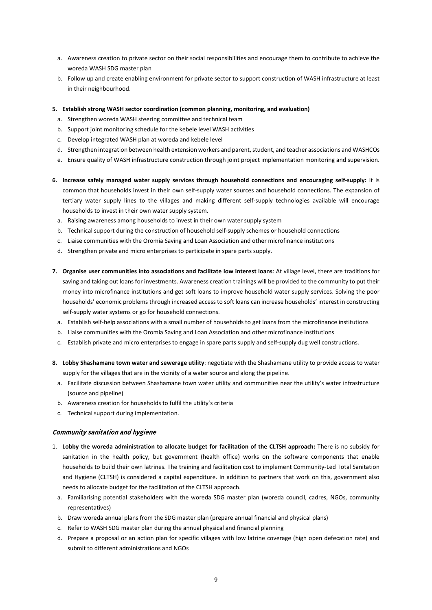- a. Awareness creation to private sector on their social responsibilities and encourage them to contribute to achieve the woreda WASH SDG master plan
- b. Follow up and create enabling environment for private sector to support construction of WASH infrastructure at least in their neighbourhood.
- **5. Establish strong WASH sector coordination (common planning, monitoring, and evaluation)** 
	- a. Strengthen woreda WASH steering committee and technical team
	- b. Support joint monitoring schedule for the kebele level WASH activities
	- c. Develop integrated WASH plan at woreda and kebele level
	- d. Strengthen integration between health extension workers and parent, student, and teacher associations and WASHCOs
	- e. Ensure quality of WASH infrastructure construction through joint project implementation monitoring and supervision.
- **6. Increase safely managed water supply services through household connections and encouraging self-supply:** It is common that households invest in their own self-supply water sources and household connections. The expansion of tertiary water supply lines to the villages and making different self-supply technologies available will encourage households to invest in their own water supply system.
	- a. Raising awareness among households to invest in their own water supply system
	- b. Technical support during the construction of household self-supply schemes or household connections
	- c. Liaise communities with the Oromia Saving and Loan Association and other microfinance institutions
	- d. Strengthen private and micro enterprises to participate in spare parts supply.
- **7. Organise user communities into associations and facilitate low interest loans**: At village level, there are traditions for saving and taking out loans for investments. Awareness creation trainings will be provided to the community to put their money into microfinance institutions and get soft loans to improve household water supply services. Solving the poor households' economic problems through increased access to soft loans can increase households' interest in constructing self-supply water systems or go for household connections.
	- a. Establish self-help associations with a small number of households to get loans from the microfinance institutions
	- b. Liaise communities with the Oromia Saving and Loan Association and other microfinance institutions
	- c. Establish private and micro enterprises to engage in spare parts supply and self-supply dug well constructions.
- **8. Lobby Shashamane town water and sewerage utility**: negotiate with the Shashamane utility to provide access to water supply for the villages that are in the vicinity of a water source and along the pipeline.
	- a. Facilitate discussion between Shashamane town water utility and communities near the utility's water infrastructure (source and pipeline)
	- b. Awareness creation for households to fulfil the utility's criteria
	- c. Technical support during implementation.

#### Community sanitation and hygiene

- 1. **Lobby the woreda administration to allocate budget for facilitation of the CLTSH approach:** There is no subsidy for sanitation in the health policy, but government (health office) works on the software components that enable households to build their own latrines. The training and facilitation cost to implement Community-Led Total Sanitation and Hygiene (CLTSH) is considered a capital expenditure. In addition to partners that work on this, government also needs to allocate budget for the facilitation of the CLTSH approach.
	- a. Familiarising potential stakeholders with the woreda SDG master plan (woreda council, cadres, NGOs, community representatives)
	- b. Draw woreda annual plans from the SDG master plan (prepare annual financial and physical plans)
	- c. Refer to WASH SDG master plan during the annual physical and financial planning
	- d. Prepare a proposal or an action plan for specific villages with low latrine coverage (high open defecation rate) and submit to different administrations and NGOs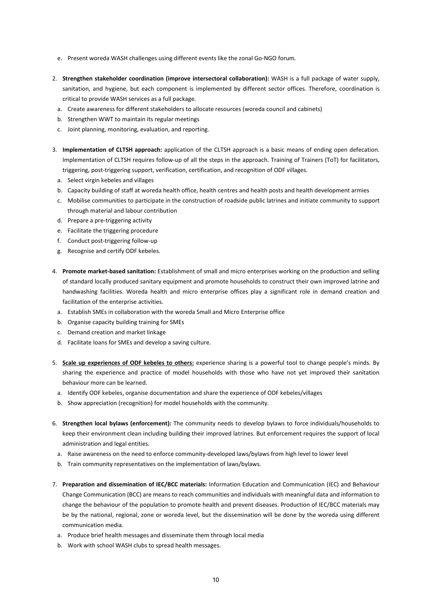- e. Present woreda WASH challenges using different events like the zonal Go-NGO forum.
- 2. **Strengthen stakeholder coordination (improve intersectoral collaboration):** WASH is a full package of water supply, sanitation, and hygiene, but each component is implemented by different sector offices. Therefore, coordination is critical to provide WASH services as a full package.
	- a. Create awareness for different stakeholders to allocate resources (woreda council and cabinets)
	- b. Strengthen WWT to maintain its regular meetings
	- c. Joint planning, monitoring, evaluation, and reporting.
- 3. **Implementation of CLTSH approach:** application of the CLTSH approach is a basic means of ending open defecation. Implementation of CLTSH requires follow-up of all the steps in the approach. Training of Trainers (ToT) for facilitators, triggering, post-triggering support, verification, certification, and recognition of ODF villages.
	- a. Select virgin kebeles and villages
	- b. Capacity building of staff at woreda health office, health centres and health posts and health development armies
	- c. Mobilise communities to participate in the construction of roadside public latrines and initiate community to support through material and labour contribution
	- d. Prepare a pre-triggering activity
	- e. Facilitate the triggering procedure
	- f. Conduct post-triggering follow-up
	- g. Recognise and certify ODF kebeles.
- 4. **Promote market-based sanitation:** Establishment of small and micro enterprises working on the production and selling of standard locally produced sanitary equipment and promote households to construct their own improved latrine and handwashing facilities. Woreda health and micro enterprise offices play a significant role in demand creation and facilitation of the enterprise activities.
	- a. Establish SMEs in collaboration with the woreda Small and Micro Enterprise office
	- b. Organise capacity building training for SMEs
	- c. Demand creation and market linkage
	- d. Facilitate loans for SMEs and develop a saving culture.
- 5. **Scale up experiences of ODF kebeles to others:** experience sharing is a powerful tool to change people's minds. By sharing the experience and practice of model households with those who have not yet improved their sanitation behaviour more can be learned.
	- a. Identify ODF kebeles, organise documentation and share the experience of ODF kebeles/villages
	- b. Show appreciation (recognition) for model households with the community.
- 6. **Strengthen local bylaws (enforcement):** The community needs to develop bylaws to force individuals/households to keep their environment clean including building their improved latrines. But enforcement requires the support of local administration and legal entities.
	- a. Raise awareness on the need to enforce community-developed laws/bylaws from high level to lower level
	- b. Train community representatives on the implementation of laws/bylaws.
- 7. **Preparation and dissemination of IEC/BCC materials:** Information Education and Communication (IEC) and Behaviour Change Communication (BCC) are means to reach communities and individuals with meaningful data and information to change the behaviour of the population to promote health and prevent diseases. Production of IEC/BCC materials may be by the national, regional, zone or woreda level, but the dissemination will be done by the woreda using different communication media.
	- a. Produce brief health messages and disseminate them through local media
	- b. Work with school WASH clubs to spread health messages.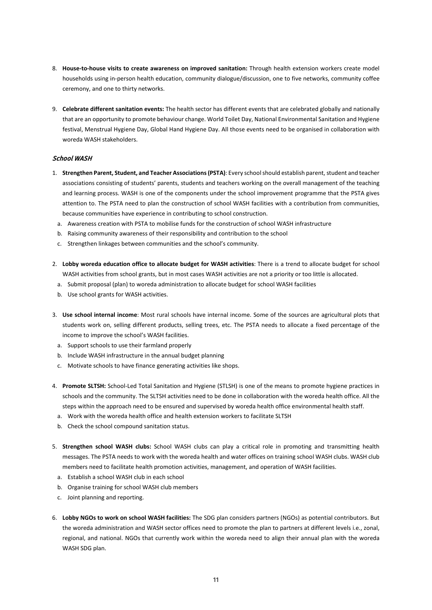- 8. **House-to-house visits to create awareness on improved sanitation:** Through health extension workers create model households using in-person health education, community dialogue/discussion, one to five networks, community coffee ceremony, and one to thirty networks.
- 9. **Celebrate different sanitation events:** The health sector has different events that are celebrated globally and nationally that are an opportunity to promote behaviour change. World Toilet Day, National Environmental Sanitation and Hygiene festival, Menstrual Hygiene Day, Global Hand Hygiene Day. All those events need to be organised in collaboration with woreda WASH stakeholders.

### School WASH

- 1. **Strengthen Parent, Student, and Teacher Associations(PSTA)**: Every school should establish parent, student and teacher associations consisting of students' parents, students and teachers working on the overall management of the teaching and learning process. WASH is one of the components under the school improvement programme that the PSTA gives attention to. The PSTA need to plan the construction of school WASH facilities with a contribution from communities, because communities have experience in contributing to school construction.
	- a. Awareness creation with PSTA to mobilise funds for the construction of school WASH infrastructure
	- b. Raising community awareness of their responsibility and contribution to the school
	- c. Strengthen linkages between communities and the school's community.
- 2. **Lobby woreda education office to allocate budget for WASH activities**: There is a trend to allocate budget for school WASH activities from school grants, but in most cases WASH activities are not a priority or too little is allocated.
	- a. Submit proposal (plan) to woreda administration to allocate budget for school WASH facilities
	- b. Use school grants for WASH activities.
- 3. **Use school internal income**: Most rural schools have internal income. Some of the sources are agricultural plots that students work on, selling different products, selling trees, etc. The PSTA needs to allocate a fixed percentage of the income to improve the school's WASH facilities.
	- a. Support schools to use their farmland properly
	- b. Include WASH infrastructure in the annual budget planning
	- c. Motivate schools to have finance generating activities like shops.
- 4. **Promote SLTSH:** School-Led Total Sanitation and Hygiene (STLSH) is one of the means to promote hygiene practices in schools and the community. The SLTSH activities need to be done in collaboration with the woreda health office. All the steps within the approach need to be ensured and supervised by woreda health office environmental health staff.
	- a. Work with the woreda health office and health extension workers to facilitate SLTSH
	- b. Check the school compound sanitation status.
- 5. **Strengthen school WASH clubs:** School WASH clubs can play a critical role in promoting and transmitting health messages. The PSTA needs to work with the woreda health and water offices on training school WASH clubs. WASH club members need to facilitate health promotion activities, management, and operation of WASH facilities.
	- a. Establish a school WASH club in each school
	- b. Organise training for school WASH club members
	- c. Joint planning and reporting.
- 6. **Lobby NGOs to work on school WASH facilities:** The SDG plan considers partners (NGOs) as potential contributors. But the woreda administration and WASH sector offices need to promote the plan to partners at different levels i.e., zonal, regional, and national. NGOs that currently work within the woreda need to align their annual plan with the woreda WASH SDG plan.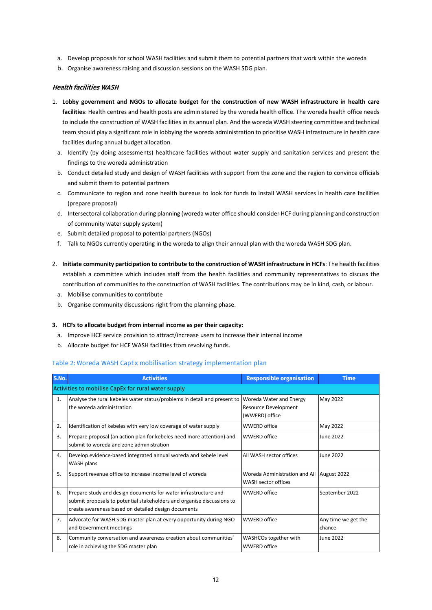- a. Develop proposals for school WASH facilities and submit them to potential partners that work within the woreda
- b. Organise awareness raising and discussion sessions on the WASH SDG plan.

#### Health facilities WASH

- 1. **Lobby government and NGOs to allocate budget for the construction of new WASH infrastructure in health care facilities**: Health centres and health posts are administered by the woreda health office. The woreda health office needs to include the construction of WASH facilities in its annual plan. And the woreda WASH steering committee and technical team should play a significant role in lobbying the woreda administration to prioritise WASH infrastructure in health care facilities during annual budget allocation.
	- a. Identify (by doing assessments) healthcare facilities without water supply and sanitation services and present the findings to the woreda administration
	- b. Conduct detailed study and design of WASH facilities with support from the zone and the region to convince officials and submit them to potential partners
	- c. Communicate to region and zone health bureaus to look for funds to install WASH services in health care facilities (prepare proposal)
	- d. Intersectoral collaboration during planning (woreda water office should consider HCF during planning and construction of community water supply system)
	- e. Submit detailed proposal to potential partners (NGOs)
	- f. Talk to NGOs currently operating in the woreda to align their annual plan with the woreda WASH SDG plan.
- 2. **Initiate community participation to contribute to the construction of WASH infrastructure in HCFs**: The health facilities establish a committee which includes staff from the health facilities and community representatives to discuss the contribution of communities to the construction of WASH facilities. The contributions may be in kind, cash, or labour.
	- a. Mobilise communities to contribute
	- b. Organise community discussions right from the planning phase.

#### **3. HCFs to allocate budget from internal income as per their capacity:**

- a. Improve HCF service provision to attract/increase users to increase their internal income
- b. Allocate budget for HCF WASH facilities from revolving funds.

#### <span id="page-11-0"></span>Table 2: Woreda WASH CapEx mobilisation strategy implementation plan

| S.No. | <b>Activities</b>                                                                                                                                                                                | <b>Responsible organisation</b>                                          | <b>Time</b>                   |  |  |  |
|-------|--------------------------------------------------------------------------------------------------------------------------------------------------------------------------------------------------|--------------------------------------------------------------------------|-------------------------------|--|--|--|
|       | Activities to mobilise CapEx for rural water supply                                                                                                                                              |                                                                          |                               |  |  |  |
| 1.    | Analyse the rural kebeles water status/problems in detail and present to<br>the woreda administration                                                                                            | Woreda Water and Energy<br><b>Resource Development</b><br>(WWERD) office | May 2022                      |  |  |  |
| 2.    | Identification of kebeles with very low coverage of water supply                                                                                                                                 | <b>WWERD office</b>                                                      | May 2022                      |  |  |  |
| 3.    | Prepare proposal (an action plan for kebeles need more attention) and<br>submit to woreda and zone administration                                                                                | <b>WWERD office</b>                                                      | June 2022                     |  |  |  |
| 4.    | Develop evidence-based integrated annual woreda and kebele level<br>WASH plans                                                                                                                   | All WASH sector offices                                                  | June 2022                     |  |  |  |
| 5.    | Support revenue office to increase income level of woreda                                                                                                                                        | Woreda Administration and All<br>WASH sector offices                     | August 2022                   |  |  |  |
| 6.    | Prepare study and design documents for water infrastructure and<br>submit proposals to potential stakeholders and organise discussions to<br>create awareness based on detailed design documents | <b>WWERD office</b>                                                      | September 2022                |  |  |  |
| 7.    | Advocate for WASH SDG master plan at every opportunity during NGO<br>and Government meetings                                                                                                     | <b>WWERD office</b>                                                      | Any time we get the<br>chance |  |  |  |
| 8.    | Community conversation and awareness creation about communities'<br>role in achieving the SDG master plan                                                                                        | WASHCOs together with<br><b>WWERD office</b>                             | <b>June 2022</b>              |  |  |  |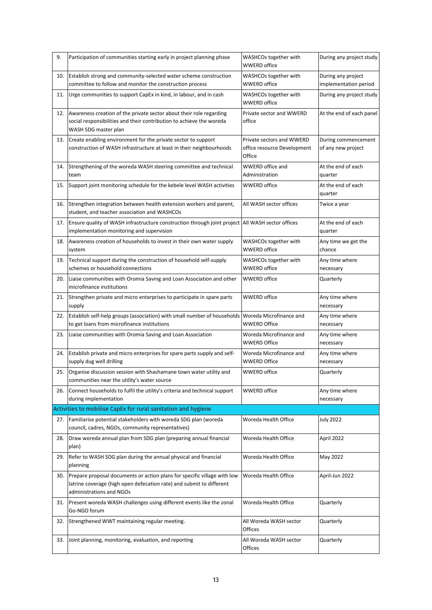| 9.  | Participation of communities starting early in project planning phase                                                                                                        | WASHCOs together with<br><b>WWERD office</b>                       | During any project study                    |
|-----|------------------------------------------------------------------------------------------------------------------------------------------------------------------------------|--------------------------------------------------------------------|---------------------------------------------|
| 10. | Establish strong and community-selected water scheme construction<br>committee to follow and monitor the construction process                                                | WASHCOs together with<br><b>WWERD office</b>                       | During any project<br>implementation period |
| 11. | Urge communities to support CapEx in kind, in labour, and in cash                                                                                                            | WASHCOs together with<br><b>WWERD office</b>                       | During any project study                    |
| 12. | Awareness creation of the private sector about their role regarding<br>social responsibilities and their contribution to achieve the woreda<br>WASH SDG master plan          | Private sector and WWERD<br>office                                 | At the end of each panel                    |
| 13. | Create enabling environment for the private sector to support<br>construction of WASH infrastructure at least in their neighbourhoods                                        | Private sectors and WWERD<br>office resource Development<br>Office | During commencement<br>of any new project   |
| 14. | Strengthening of the woreda WASH steering committee and technical<br>team                                                                                                    | <b>WWERD</b> office and<br>Administration                          | At the end of each<br>quarter               |
| 15. | Support joint monitoring schedule for the kebele level WASH activities                                                                                                       | <b>WWERD office</b>                                                | At the end of each<br>quarter               |
| 16. | Strengthen integration between health extension workers and parent,<br>student, and teacher association and WASHCOs                                                          | All WASH sector offices                                            | Twice a year                                |
| 17. | Ensure quality of WASH infrastructure construction through joint project All WASH sector offices<br>implementation monitoring and supervision                                |                                                                    | At the end of each<br>quarter               |
| 18. | Awareness creation of households to invest in their own water supply<br>system                                                                                               | WASHCOs together with<br><b>WWERD office</b>                       | Any time we get the<br>chance               |
| 19. | Technical support during the construction of household self-supply<br>schemes or household connections                                                                       | WASHCOs together with<br><b>WWERD office</b>                       | Any time where<br>necessary                 |
| 20. | Liaise communities with Oromia Saving and Loan Association and other<br>microfinance institutions                                                                            | <b>WWERD office</b>                                                | Quarterly                                   |
| 21. | Strengthen private and micro enterprises to participate in spare parts<br>supply                                                                                             | <b>WWERD office</b>                                                | Any time where<br>necessary                 |
| 22. | Establish self-help groups (association) with small number of households Woreda Microfinance and<br>to get loans from microfinance institutions                              | <b>WWERD Office</b>                                                | Any time where<br>necessary                 |
| 23. | Liaise communities with Oromia Saving and Loan Association                                                                                                                   | Woreda Microfinance and<br><b>WWERD Office</b>                     | Any time where<br>necessary                 |
| 24. | Establish private and micro enterprises for spare parts supply and self-<br>supply dug well drilling                                                                         | Woreda Microfinance and<br><b>WWERD Office</b>                     | Any time where<br>necessary                 |
| 25. | Organise discussion session with Shashamane town water utility and<br>communities near the utility's water source                                                            | <b>WWERD office</b>                                                | Quarterly                                   |
| 26. | Connect households to fulfil the utility's criteria and technical support<br>during implementation                                                                           | <b>WWERD</b> office                                                | Any time where<br>necessary                 |
|     | Activities to mobilise CapEx for rural sanitation and hygiene                                                                                                                |                                                                    |                                             |
| 27. | Familiarise potential stakeholders with woreda SDG plan (woreda<br>council, cadres, NGOs, community representatives)                                                         | Woreda Health Office                                               | <b>July 2022</b>                            |
| 28. | Draw woreda annual plan from SDG plan (preparing annual financial<br>plan)                                                                                                   | Woreda Health Office                                               | April 2022                                  |
| 29. | Refer to WASH SDG plan during the annual physical and financial<br>planning                                                                                                  | Woreda Health Office                                               | May 2022                                    |
| 30. | Prepare proposal documents or action plans for specific village with low<br>latrine coverage (high open defecation rate) and submit to different<br>administrations and NGOs | Woreda Health Office                                               | April-Jun 2022                              |
| 31. | Present woreda WASH challenges using different events like the zonal<br>Go-NGO forum                                                                                         | Woreda Health Office                                               | Quarterly                                   |
| 32. | Strengthened WWT maintaining regular meeting.                                                                                                                                | All Woreda WASH sector<br>Offices                                  | Quarterly                                   |
| 33. | Joint planning, monitoring, evaluation, and reporting                                                                                                                        | All Woreda WASH sector<br>Offices                                  | Quarterly                                   |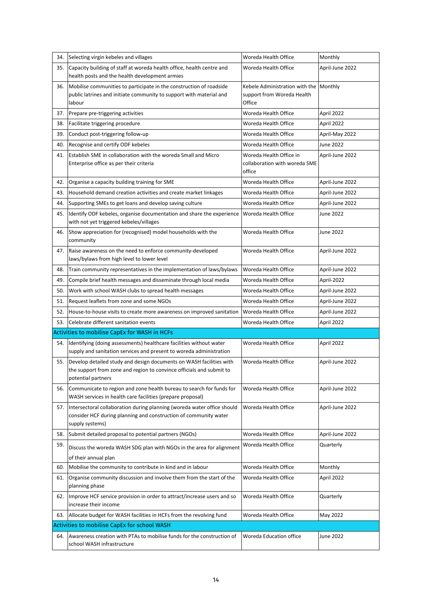| 34. | Selecting virgin kebeles and villages                                                                                                                             | Woreda Health Office                                                           | Monthly          |
|-----|-------------------------------------------------------------------------------------------------------------------------------------------------------------------|--------------------------------------------------------------------------------|------------------|
| 35. | Capacity building of staff at woreda health office, health centre and<br>health posts and the health development armies                                           | Woreda Health Office                                                           | April-June 2022  |
| 36. | Mobilise communities to participate in the construction of roadside<br>public latrines and initiate community to support with material and<br>labour              | Kebele Administration with the Monthly<br>support from Woreda Health<br>Office |                  |
| 37. | Prepare pre-triggering activities                                                                                                                                 | Woreda Health Office                                                           | April 2022       |
| 38. | Facilitate triggering procedure                                                                                                                                   | Woreda Health Office                                                           | April 2022       |
| 39. | Conduct post-triggering follow-up                                                                                                                                 | Woreda Health Office                                                           | April-May 2022   |
| 40. | Recognise and certify ODF kebeles                                                                                                                                 | Woreda Health Office                                                           | June 2022        |
| 41. | Establish SME in collaboration with the woreda Small and Micro<br>Enterprise office as per their criteria                                                         | Woreda Health Office in<br>collaboration with woreda SME<br>office             | April-June 2022  |
| 42. | Organise a capacity building training for SME                                                                                                                     | Woreda Health Office                                                           | April-June 2022  |
| 43. | Household demand creation activities and create market linkages                                                                                                   | Woreda Health Office                                                           | April-June 2022  |
| 44. | Supporting SMEs to get loans and develop saving culture                                                                                                           | Woreda Health Office                                                           | April-June 2022  |
| 45. | Identify ODF kebeles, organise documentation and share the experience<br>with not yet triggered kebeles/villages                                                  | Woreda Health Office                                                           | <b>June 2022</b> |
| 46. | Show appreciation for (recognised) model households with the<br>community                                                                                         | Woreda Health Office                                                           | June 2022        |
| 47. | Raise awareness on the need to enforce community-developed<br>laws/bylaws from high level to lower level                                                          | Woreda Health Office                                                           | April-June 2022  |
| 48. | Train community representatives in the implementation of laws/bylaws                                                                                              | Woreda Health Office                                                           | April-June 2022  |
| 49. | Compile brief health messages and disseminate through local media                                                                                                 | Woreda Health Office                                                           | April-2022       |
| 50. | Work with school WASH clubs to spread health messages                                                                                                             | Woreda Health Office                                                           | April-June 2022  |
| 51. | Request leaflets from zone and some NGOs                                                                                                                          | Woreda Health Office                                                           | April-June 2022  |
| 52. | House-to-house visits to create more awareness on improved sanitation                                                                                             | Woreda Health Office                                                           | April-June 2022  |
| 53. | Celebrate different sanitation events                                                                                                                             | Woreda Health Office                                                           | April 2022       |
|     | Activities to mobilise CapEx for WASH in HCFs                                                                                                                     |                                                                                |                  |
| 54. | Identifying (doing assessments) healthcare facilities without water<br>supply and sanitation services and present to woreda administration                        | Woreda Health Office                                                           | April 2022       |
| 55. | Develop detailed study and design documents on WASH facilities with<br>the support from zone and region to convince officials and submit to<br>potential partners | Woreda Health Office                                                           | April-June 2022  |
| 56. | Communicate to region and zone health bureau to search for funds for<br>WASH services in health care facilities (prepare proposal)                                | Woreda Health Office                                                           | April-June 2022  |
| 57. | Intersectoral collaboration during planning (woreda water office should<br>consider HCF during planning and construction of community water<br>supply systems)    | Woreda Health Office                                                           | April-June 2022  |
| 58. | Submit detailed proposal to potential partners (NGOs)                                                                                                             | Woreda Health Office                                                           | April-June 2022  |
| 59. | Discuss the woreda WASH SDG plan with NGOs in the area for alignment<br>of their annual plan                                                                      | Woreda Health Office                                                           | Quarterly        |
| 60. | Mobilise the community to contribute in kind and in labour                                                                                                        | Woreda Health Office                                                           | Monthly          |
| 61. | Organise community discussion and involve them from the start of the<br>planning phase                                                                            | Woreda Health Office                                                           | April 2022       |
| 62. | Improve HCF service provision in order to attract/increase users and so<br>increase their income                                                                  | Woreda Health Office                                                           | Quarterly        |
| 63. | Allocate budget for WASH facilities in HCFs from the revolving fund                                                                                               | Woreda Health Office                                                           | May 2022         |
|     | <b>Activities to mobilise CapEx for school WASH</b>                                                                                                               |                                                                                |                  |
| 64. | Awareness creation with PTAs to mobilise funds for the construction of<br>school WASH infrastructure                                                              | Woreda Education office                                                        | <b>June 2022</b> |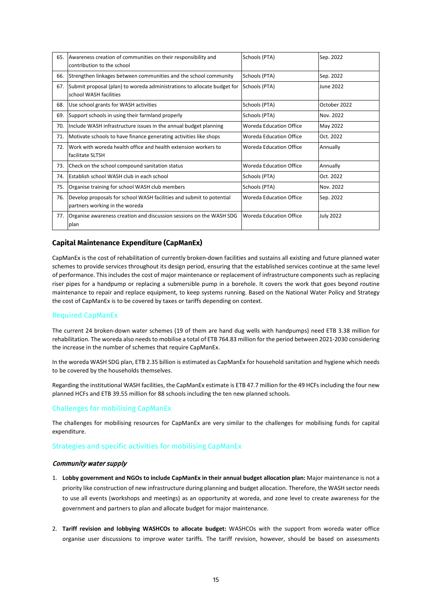| 65. | Awareness creation of communities on their responsibility and<br>contribution to the school            | Schools (PTA)                  | Sep. 2022        |
|-----|--------------------------------------------------------------------------------------------------------|--------------------------------|------------------|
| 66. | Strengthen linkages between communities and the school community                                       | Schools (PTA)                  | Sep. 2022        |
| 67. | Submit proposal (plan) to woreda administrations to allocate budget for<br>school WASH facilities      | Schools (PTA)                  | June 2022        |
| 68. | Use school grants for WASH activities                                                                  | Schools (PTA)                  | October 2022     |
| 69. | Support schools in using their farmland properly                                                       | Schools (PTA)                  | Nov. 2022        |
| 70. | Include WASH infrastructure issues in the annual budget planning                                       | <b>Woreda Education Office</b> | May 2022         |
| 71. | Motivate schools to have finance generating activities like shops                                      | Woreda Education Office        | Oct. 2022        |
| 72. | Work with woreda health office and health extension workers to<br>facilitate SLTSH                     | Woreda Education Office        | Annually         |
| 73. | Check on the school compound sanitation status                                                         | Woreda Education Office        | Annually         |
| 74. | Establish school WASH club in each school                                                              | Schools (PTA)                  | Oct. 2022        |
| 75. | Organise training for school WASH club members                                                         | Schools (PTA)                  | Nov. 2022        |
| 76. | Develop proposals for school WASH facilities and submit to potential<br>partners working in the woreda | <b>Woreda Education Office</b> | Sep. 2022        |
| 77. | Organise awareness creation and discussion sessions on the WASH SDG<br>plan                            | <b>Woreda Education Office</b> | <b>July 2022</b> |

## <span id="page-14-0"></span>**Capital Maintenance Expenditure (CapManEx)**

CapManEx is the cost of rehabilitation of currently broken-down facilities and sustains all existing and future planned water schemes to provide services throughout its design period, ensuring that the established services continue at the same level of performance. This includes the cost of major maintenance or replacement of infrastructure components such as replacing riser pipes for a handpump or replacing a submersible pump in a borehole. It covers the work that goes beyond routine maintenance to repair and replace equipment, to keep systems running. Based on the National Water Policy and Strategy the cost of CapManEx is to be covered by taxes or tariffs depending on context.

### <span id="page-14-1"></span>Required CapManEx

The current 24 broken-down water schemes (19 of them are hand dug wells with handpumps) need ETB 3.38 million for rehabilitation. The woreda also needs to mobilise a total of ETB 764.83 million for the period between 2021-2030 considering the increase in the number of schemes that require CapManEx.

In the woreda WASH SDG plan, ETB 2.35 billion is estimated as CapManEx for household sanitation and hygiene which needs to be covered by the households themselves.

Regarding the institutional WASH facilities, the CapManEx estimate is ETB 47.7 million for the 49 HCFs including the four new planned HCFs and ETB 39.55 million for 88 schools including the ten new planned schools.

### <span id="page-14-2"></span>Challenges for mobilising CapManEx

The challenges for mobilising resources for CapManEx are very similar to the challenges for mobilising funds for capital expenditure.

#### <span id="page-14-3"></span>Strategies and specific activities for mobilising CapManEx

#### Community water supply

- 1. **Lobby government and NGOs to include CapManEx in their annual budget allocation plan:** Major maintenance is not a priority like construction of new infrastructure during planning and budget allocation. Therefore, the WASH sector needs to use all events (workshops and meetings) as an opportunity at woreda, and zone level to create awareness for the government and partners to plan and allocate budget for major maintenance.
- 2. **Tariff revision and lobbying WASHCOs to allocate budget:** WASHCOs with the support from woreda water office organise user discussions to improve water tariffs. The tariff revision, however, should be based on assessments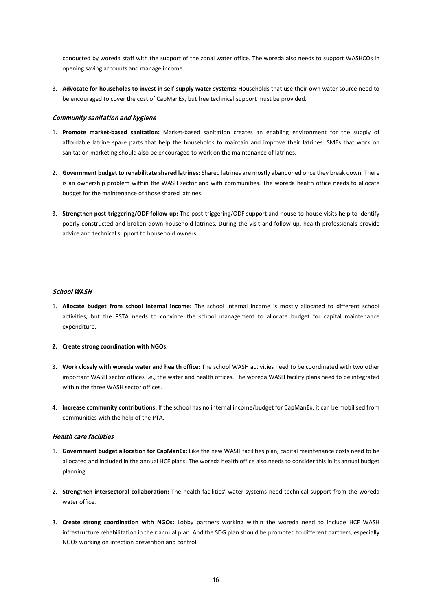conducted by woreda staff with the support of the zonal water office. The woreda also needs to support WASHCOs in opening saving accounts and manage income.

3. **Advocate for households to invest in self-supply water systems:** Households that use their own water source need to be encouraged to cover the cost of CapManEx, but free technical support must be provided.

#### Community sanitation and hygiene

- 1. **Promote market-based sanitation:** Market-based sanitation creates an enabling environment for the supply of affordable latrine spare parts that help the households to maintain and improve their latrines. SMEs that work on sanitation marketing should also be encouraged to work on the maintenance of latrines.
- 2. **Government budget to rehabilitate shared latrines:** Shared latrines are mostly abandoned once they break down. There is an ownership problem within the WASH sector and with communities. The woreda health office needs to allocate budget for the maintenance of those shared latrines.
- 3. **Strengthen post-triggering/ODF follow-up:** The post-triggering/ODF support and house-to-house visits help to identify poorly constructed and broken-down household latrines. During the visit and follow-up, health professionals provide advice and technical support to household owners.

#### School WASH

- 1. **Allocate budget from school internal income:** The school internal income is mostly allocated to different school activities, but the PSTA needs to convince the school management to allocate budget for capital maintenance expenditure.
- **2. Create strong coordination with NGOs.**
- 3. **Work closely with woreda water and health office:** The school WASH activities need to be coordinated with two other important WASH sector offices i.e., the water and health offices. The woreda WASH facility plans need to be integrated within the three WASH sector offices.
- 4. **Increase community contributions:** If the school has no internal income/budget for CapManEx, it can be mobilised from communities with the help of the PTA.

#### Health care facilities

- 1. **Government budget allocation for CapManEx:** Like the new WASH facilities plan, capital maintenance costs need to be allocated and included in the annual HCF plans. The woreda health office also needs to consider this in its annual budget planning.
- 2. **Strengthen intersectoral collaboration:** The health facilities' water systems need technical support from the woreda water office.
- 3. **Create strong coordination with NGOs:** Lobby partners working within the woreda need to include HCF WASH infrastructure rehabilitation in their annual plan. And the SDG plan should be promoted to different partners, especially NGOs working on infection prevention and control.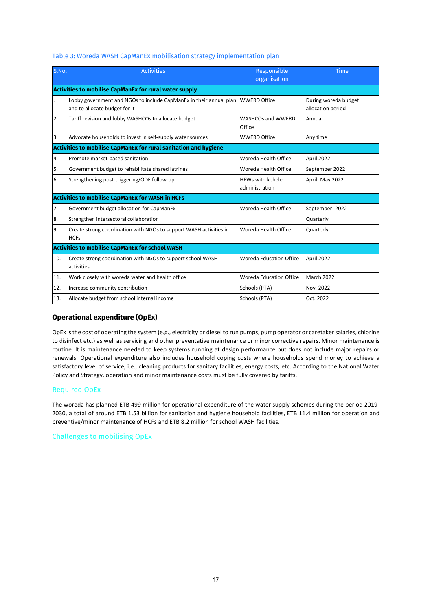<span id="page-16-3"></span>

|  | Table 3: Woreda WASH CapManEx mobilisation strategy implementation plan |  |
|--|-------------------------------------------------------------------------|--|
|--|-------------------------------------------------------------------------|--|

| S.No. | <b>Activities</b>                                                                                   | Responsible<br>organisation               | <b>Time</b>                               |
|-------|-----------------------------------------------------------------------------------------------------|-------------------------------------------|-------------------------------------------|
|       | <b>Activities to mobilise CapManEx for rural water supply</b>                                       |                                           |                                           |
| 1.    | Lobby government and NGOs to include CapManEx in their annual plan<br>and to allocate budget for it | <b>WWERD Office</b>                       | During woreda budget<br>allocation period |
| 2.    | Tariff revision and lobby WASHCOs to allocate budget                                                | <b>WASHCOs and WWERD</b><br>Office        | Annual                                    |
| 3.    | Advocate households to invest in self-supply water sources                                          | <b>WWERD Office</b>                       | Any time                                  |
|       | Activities to mobilise CapManEx for rural sanitation and hygiene                                    |                                           |                                           |
| 4.    | Promote market-based sanitation                                                                     | Woreda Health Office                      | April 2022                                |
| 5.    | Government budget to rehabilitate shared latrines                                                   | Woreda Health Office                      | September 2022                            |
| 6.    | Strengthening post-triggering/ODF follow-up                                                         | <b>HEWs with kebele</b><br>administration | April-May 2022                            |
|       | <b>Activities to mobilise CapManEx for WASH in HCFs</b>                                             |                                           |                                           |
| 7.    | Government budget allocation for CapManEx                                                           | Woreda Health Office                      | September-2022                            |
| 8.    | Strengthen intersectoral collaboration                                                              |                                           | Quarterly                                 |
| 9.    | Create strong coordination with NGOs to support WASH activities in<br><b>HCFs</b>                   | Woreda Health Office                      | Quarterly                                 |
|       | <b>Activities to mobilise CapManEx for school WASH</b>                                              |                                           |                                           |
| 10.   | Create strong coordination with NGOs to support school WASH<br>activities                           | <b>Woreda Education Office</b>            | April 2022                                |
| 11.   | Work closely with woreda water and health office                                                    | <b>Woreda Education Office</b>            | March 2022                                |
| 12.   | Increase community contribution                                                                     | Schools (PTA)                             | Nov. 2022                                 |
| 13.   | Allocate budget from school internal income                                                         | Schools (PTA)                             | Oct. 2022                                 |

# <span id="page-16-0"></span>**Operational expenditure (OpEx)**

OpEx is the cost of operating the system (e.g., electricity or diesel to run pumps, pump operator or caretaker salaries, chlorine to disinfect etc.) as well as servicing and other preventative maintenance or minor corrective repairs. Minor maintenance is routine. It is maintenance needed to keep systems running at design performance but does not include major repairs or renewals. Operational expenditure also includes household coping costs where households spend money to achieve a satisfactory level of service, i.e., cleaning products for sanitary facilities, energy costs, etc. According to the National Water Policy and Strategy, operation and minor maintenance costs must be fully covered by tariffs.

# <span id="page-16-1"></span>Required OpEx

The woreda has planned ETB 499 million for operational expenditure of the water supply schemes during the period 2019- 2030, a total of around ETB 1.53 billion for sanitation and hygiene household facilities, ETB 11.4 million for operation and preventive/minor maintenance of HCFs and ETB 8.2 million for school WASH facilities.

# <span id="page-16-2"></span>Challenges to mobilising OpEx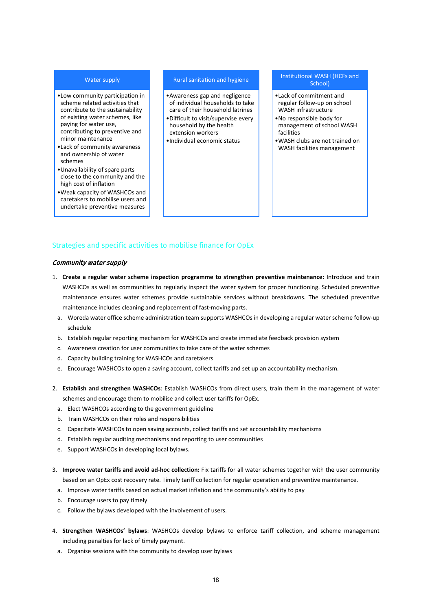#### Water supply

- •Low community participation in scheme related activities that contribute to the sustainability of existing water schemes, like paying for water use, contributing to preventive and minor maintenance
- •Lack of community awareness and ownership of water schemes
- •Unavailability of spare parts close to the community and the high cost of inflation
- •Weak capacity of WASHCOs and caretakers to mobilise users and undertake preventive measures

#### Rural sanitation and hygiene

- •Awareness gap and negligence of individual households to take care of their household latrines
- •Difficult to visit/supervise every household by the health extension workers
- •Individual economic status

#### Institutional WASH (HCFs and School)

- •Lack of commitment and regular follow-up on school WASH infrastructure
- •No responsible body for management of school WASH facilities
- •WASH clubs are not trained on WASH facilities management

### <span id="page-17-0"></span>Strategies and specific activities to mobilise finance for OpEx

#### Community water supply

- 1. **Create a regular water scheme inspection programme to strengthen preventive maintenance:** Introduce and train WASHCOs as well as communities to regularly inspect the water system for proper functioning. Scheduled preventive maintenance ensures water schemes provide sustainable services without breakdowns. The scheduled preventive maintenance includes cleaning and replacement of fast-moving parts.
	- a. Woreda water office scheme administration team supports WASHCOs in developing a regular water scheme follow-up schedule
	- b. Establish regular reporting mechanism for WASHCOs and create immediate feedback provision system
	- c. Awareness creation for user communities to take care of the water schemes
	- d. Capacity building training for WASHCOs and caretakers
	- e. Encourage WASHCOs to open a saving account, collect tariffs and set up an accountability mechanism.
- 2. **Establish and strengthen WASHCOs**: Establish WASHCOs from direct users, train them in the management of water schemes and encourage them to mobilise and collect user tariffs for OpEx.
	- a. Elect WASHCOs according to the government guideline
	- b. Train WASHCOs on their roles and responsibilities
	- c. Capacitate WASHCOs to open saving accounts, collect tariffs and set accountability mechanisms
	- d. Establish regular auditing mechanisms and reporting to user communities
	- e. Support WASHCOs in developing local bylaws.
- 3. **Improve water tariffs and avoid ad-hoc collection:** Fix tariffs for all water schemes together with the user community based on an OpEx cost recovery rate. Timely tariff collection for regular operation and preventive maintenance.
	- a. Improve water tariffs based on actual market inflation and the community's ability to pay
	- b. Encourage users to pay timely
	- c. Follow the bylaws developed with the involvement of users.
- 4. **Strengthen WASHCOs' bylaws**: WASHCOs develop bylaws to enforce tariff collection, and scheme management including penalties for lack of timely payment.
	- a. Organise sessions with the community to develop user bylaws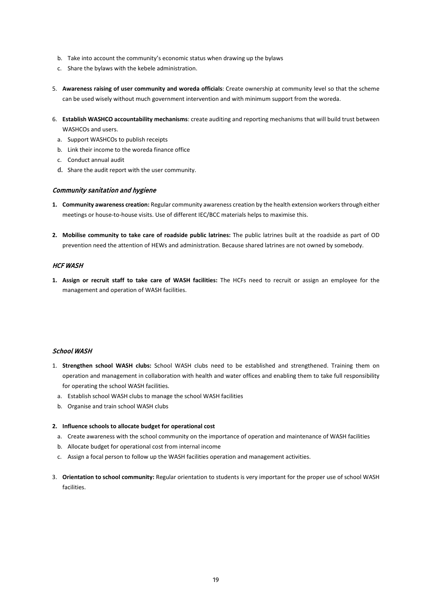- b. Take into account the community's economic status when drawing up the bylaws
- c. Share the bylaws with the kebele administration.
- 5. **Awareness raising of user community and woreda officials**: Create ownership at community level so that the scheme can be used wisely without much government intervention and with minimum support from the woreda.
- 6. **Establish WASHCO accountability mechanisms**: create auditing and reporting mechanisms that will build trust between WASHCOs and users.
	- a. Support WASHCOs to publish receipts
	- b. Link their income to the woreda finance office
	- c. Conduct annual audit
	- d. Share the audit report with the user community.

## Community sanitation and hygiene

- **1. Community awareness creation:** Regular community awareness creation by the health extension workers through either meetings or house-to-house visits. Use of different IEC/BCC materials helps to maximise this.
- **2. Mobilise community to take care of roadside public latrines:** The public latrines built at the roadside as part of OD prevention need the attention of HEWs and administration. Because shared latrines are not owned by somebody.

### **HCF WASH**

**1. Assign or recruit staff to take care of WASH facilities:** The HCFs need to recruit or assign an employee for the management and operation of WASH facilities.

#### School WASH

- 1. **Strengthen school WASH clubs:** School WASH clubs need to be established and strengthened. Training them on operation and management in collaboration with health and water offices and enabling them to take full responsibility for operating the school WASH facilities.
	- a. Establish school WASH clubs to manage the school WASH facilities
	- b. Organise and train school WASH clubs

#### **2. Influence schools to allocate budget for operational cost**

- a. Create awareness with the school community on the importance of operation and maintenance of WASH facilities
- b. Allocate budget for operational cost from internal income
- c. Assign a focal person to follow up the WASH facilities operation and management activities.
- <span id="page-18-0"></span>3. **Orientation to school community:** Regular orientation to students is very important for the proper use of school WASH facilities.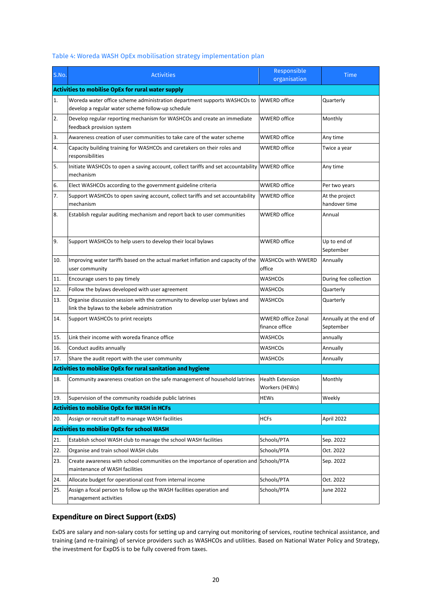|  | Table 4: Woreda WASH OpEx mobilisation strategy implementation plan |  |  |
|--|---------------------------------------------------------------------|--|--|
|--|---------------------------------------------------------------------|--|--|

| S.No.                                                     | <b>Activities</b>                                                                                                             | Responsible<br>organisation                 | Time                                |  |  |
|-----------------------------------------------------------|-------------------------------------------------------------------------------------------------------------------------------|---------------------------------------------|-------------------------------------|--|--|
| <b>Activities to mobilise OpEx for rural water supply</b> |                                                                                                                               |                                             |                                     |  |  |
| 1.                                                        | Woreda water office scheme administration department supports WASHCOs to<br>develop a regular water scheme follow-up schedule | <b>WWERD office</b>                         | Quarterly                           |  |  |
| 2.                                                        | Develop regular reporting mechanism for WASHCOs and create an immediate<br>feedback provision system                          | <b>WWERD office</b>                         | Monthly                             |  |  |
| 3.                                                        | Awareness creation of user communities to take care of the water scheme                                                       | <b>WWERD office</b>                         | Any time                            |  |  |
| 4.                                                        | Capacity building training for WASHCOs and caretakers on their roles and<br>responsibilities                                  | <b>WWERD office</b>                         | Twice a year                        |  |  |
| 5.                                                        | Initiate WASHCOs to open a saving account, collect tariffs and set accountability WWERD office<br>mechanism                   |                                             | Any time                            |  |  |
| 6.                                                        | Elect WASHCOs according to the government guideline criteria                                                                  | <b>WWERD office</b>                         | Per two years                       |  |  |
| 7.                                                        | Support WASHCOs to open saving account, collect tariffs and set accountability<br>mechanism                                   | <b>WWERD office</b>                         | At the project<br>handover time     |  |  |
| 8.                                                        | Establish regular auditing mechanism and report back to user communities                                                      | <b>WWERD office</b>                         | Annual                              |  |  |
| 9.                                                        | Support WASHCOs to help users to develop their local bylaws                                                                   | <b>WWERD office</b>                         | Up to end of<br>September           |  |  |
| 10.                                                       | Improving water tariffs based on the actual market inflation and capacity of the<br>user community                            | <b>WASHCOs with WWERD</b><br>office         | Annually                            |  |  |
| 11.                                                       | Encourage users to pay timely                                                                                                 | WASHCOs                                     | During fee collection               |  |  |
| 12.                                                       | Follow the bylaws developed with user agreement                                                                               | <b>WASHCOS</b>                              | Quarterly                           |  |  |
| 13.                                                       | Organise discussion session with the community to develop user bylaws and<br>link the bylaws to the kebele administration     | WASHCOs                                     | Quarterly                           |  |  |
| 14.                                                       | Support WASHCOs to print receipts                                                                                             | <b>WWERD office Zonal</b><br>finance office | Annually at the end of<br>September |  |  |
| 15.                                                       | Link their income with woreda finance office                                                                                  | <b>WASHCOS</b>                              | annually                            |  |  |
| 16.                                                       | Conduct audits annually                                                                                                       | WASHCOs                                     | Annually                            |  |  |
| 17.                                                       | Share the audit report with the user community                                                                                | WASHCOs                                     | Annually                            |  |  |
|                                                           | Activities to mobilise OpEx for rural sanitation and hygiene                                                                  |                                             |                                     |  |  |
| 18.                                                       | Community awareness creation on the safe management of household latrines                                                     | <b>Health Extension</b><br>Workers (HEWs)   | Monthly                             |  |  |
| 19.                                                       | Supervision of the community roadside public latrines                                                                         | <b>HEWs</b>                                 | Weekly                              |  |  |
|                                                           | <b>Activities to mobilise OpEx for WASH in HCFs</b>                                                                           |                                             |                                     |  |  |
| 20.                                                       | Assign or recruit staff to manage WASH facilities                                                                             | <b>HCFs</b>                                 | April 2022                          |  |  |
|                                                           | <b>Activities to mobilise OpEx for school WASH</b>                                                                            |                                             |                                     |  |  |
| 21.                                                       | Establish school WASH club to manage the school WASH facilities                                                               | Schools/PTA                                 | Sep. 2022                           |  |  |
| 22.                                                       | Organise and train school WASH clubs                                                                                          | Schools/PTA                                 | Oct. 2022                           |  |  |
| 23.                                                       | Create awareness with school communities on the importance of operation and<br>maintenance of WASH facilities                 | Schools/PTA                                 | Sep. 2022                           |  |  |
| 24.                                                       | Allocate budget for operational cost from internal income                                                                     | Schools/PTA                                 | Oct. 2022                           |  |  |
| 25.                                                       | Assign a focal person to follow up the WASH facilities operation and<br>management activities                                 | Schools/PTA                                 | June 2022                           |  |  |

# <span id="page-19-0"></span>**Expenditure on Direct Support (ExDS)**

ExDS are salary and non-salary costs for setting up and carrying out monitoring of services, routine technical assistance, and training (and re-training) of service providers such as WASHCOs and utilities. Based on National Water Policy and Strategy, the investment for ExpDS is to be fully covered from taxes.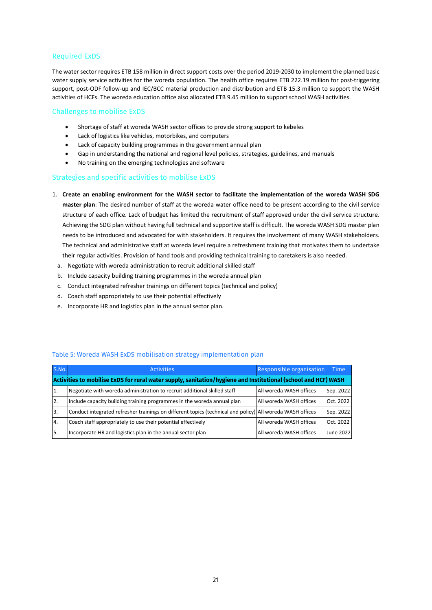# <span id="page-20-0"></span>Required ExDS

The water sector requires ETB 158 million in direct support costs over the period 2019-2030 to implement the planned basic water supply service activities for the woreda population. The health office requires ETB 222.19 million for post-triggering support, post-ODF follow-up and IEC/BCC material production and distribution and ETB 15.3 million to support the WASH activities of HCFs. The woreda education office also allocated ETB 9.45 million to support school WASH activities.

### <span id="page-20-1"></span>Challenges to mobilise ExDS

- Shortage of staff at woreda WASH sector offices to provide strong support to kebeles
- Lack of logistics like vehicles, motorbikes, and computers
- Lack of capacity building programmes in the government annual plan
- Gap in understanding the national and regional level policies, strategies, guidelines, and manuals
- No training on the emerging technologies and software

### <span id="page-20-2"></span>Strategies and specific activities to mobilise ExDS

- 1. **Create an enabling environment for the WASH sector to facilitate the implementation of the woreda WASH SDG master plan**: The desired number of staff at the woreda water office need to be present according to the civil service structure of each office. Lack of budget has limited the recruitment of staff approved under the civil service structure. Achieving the SDG plan without having full technical and supportive staff is difficult. The woreda WASH SDG master plan needs to be introduced and advocated for with stakeholders. It requires the involvement of many WASH stakeholders. The technical and administrative staff at woreda level require a refreshment training that motivates them to undertake their regular activities. Provision of hand tools and providing technical training to caretakers is also needed.
	- a. Negotiate with woreda administration to recruit additional skilled staff
	- b. Include capacity building training programmes in the woreda annual plan
	- c. Conduct integrated refresher trainings on different topics (technical and policy)
	- d. Coach staff appropriately to use their potential effectively
	- e. Incorporate HR and logistics plan in the annual sector plan.

| S.No.                                                                                                          | <b>Activities</b>                                                                                         | <b>Responsible organisation</b> | <b>Time</b>      |  |  |  |
|----------------------------------------------------------------------------------------------------------------|-----------------------------------------------------------------------------------------------------------|---------------------------------|------------------|--|--|--|
| Activities to mobilise ExDS for rural water supply, sanitation/hygiene and Institutional (school and HCF) WASH |                                                                                                           |                                 |                  |  |  |  |
| 11.                                                                                                            | Negotiate with woreda administration to recruit additional skilled staff                                  | All woreda WASH offices         | Sep. 2022        |  |  |  |
| $\overline{2}$ .                                                                                               | Include capacity building training programmes in the woreda annual plan                                   | All woreda WASH offices         | Oct. 2022        |  |  |  |
| l3.                                                                                                            | Conduct integrated refresher trainings on different topics (technical and policy) All woreda WASH offices |                                 | Sep. 2022        |  |  |  |
| $\overline{4}$                                                                                                 | Coach staff appropriately to use their potential effectively                                              | All woreda WASH offices         | Oct. 2022        |  |  |  |
| I5.                                                                                                            | Incorporate HR and logistics plan in the annual sector plan                                               | All woreda WASH offices         | <b>June 2022</b> |  |  |  |

#### <span id="page-20-3"></span>Table 5: Woreda WASH ExDS mobilisation strategy implementation plan